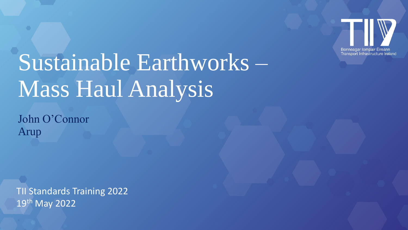

# Sustainable Earthworks – Mass Haul Analysis

John O'Connor Arup

TII Standards Training 2022 19th May 2022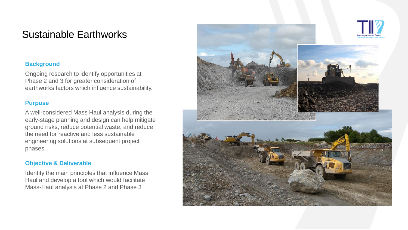## Sustainable Earthworks

#### **Background**

Ongoing research to identify opportunities at Phase 2 and 3 for greater consideration of earthworks factors which influence sustainability.

#### **Purpose**

A well-considered Mass Haul analysis during the early-stage planning and design can help mitigate ground risks, reduce potential waste, and reduce the need for reactive and less sustainable engineering solutions at subsequent project phases.

#### **Objective & Deliverable**

Identify the main principles that influence Mass Haul and develop a tool which would facilitate Mass-Haul analysis at Phase 2 and Phase 3

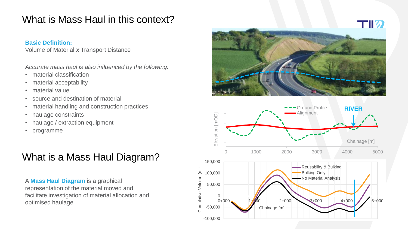# What is Mass Haul in this context?

## **Basic Definition:**

Volume of Material *x* Transport Distance

*Accurate mass haul is also influenced by the following:* 

- material classification
- material acceptability
- material value
- source and destination of material
- material handling and construction practices
- haulage constraints
- haulage / extraction equipment
- programme

# What is a Mass Haul Diagram?

A **Mass Haul Diagram** is a graphical representation of the material moved and facilitate investigation of material allocation and optimised haulage



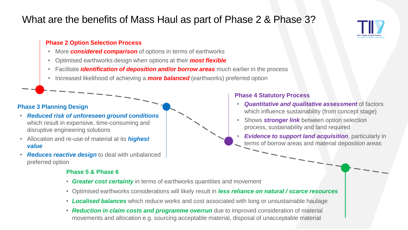# What are the benefits of Mass Haul as part of Phase 2 & Phase 3?

### **Phase 2 Option Selection Process**

- More *considered comparison* of options in terms of earthworks
- Optimised earthworks design when options at their *most flexible*
- Facilitate *identification of deposition and/or borrow areas* much earlier in the process
- Increased likelihood of achieving a *more balanced* (earthworks) preferred option

## **Phase 3 Planning Design**

- *Reduced risk of unforeseen ground conditions*  which result in expensive, time-consuming and disruptive engineering solutions
- Allocation and re-use of material at its *highest value*
- *Reduces reactive design* to deal with unbalanced preferred option

## **Phase 5 & Phase 6**

- *Greater cost certainty* in terms of earthworks quantities and movement
- Optimised earthworks considerations will likely result in *less reliance on natural / scarce resources*
- *Localised balances* which reduce works and cost associated with long or unsustainable haulage
- **Reduction in claim costs and programme overrun** due to improved consideration of material movements and allocation e.g. sourcing acceptable material, disposal of unacceptable material

## **Phase 4 Statutory Process**

- *Quantitative and qualitative assessment* of factors which influence sustainability (from concept stage)
- Shows *stronger link* between option selection process, sustainability and land required
	- *Evidence to support land acquisition*, particularly in terms of borrow areas and material deposition areas

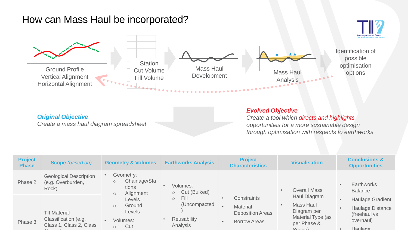## How can Mass Haul be incorporated?



|  | <b>Original Objective</b> |
|--|---------------------------|
|--|---------------------------|

*Create a mass haul diagram spreadsheet*

#### *Evolved Objective*

*Create a tool which directs and highlights opportunities for a more sustainable design through optimisation with respects to earthworks*

| <b>Project</b><br><b>Phase</b> | <b>Scope</b> (based on)                                     | <b>Geometry &amp; Volumes</b>                                         | <b>Earthworks Analysis</b>                          | <b>Project</b><br><b>Characteristics</b>                  | <b>Visualisation</b>                            | <b>Conclusions &amp;</b><br><b>Opportunities</b>                   |
|--------------------------------|-------------------------------------------------------------|-----------------------------------------------------------------------|-----------------------------------------------------|-----------------------------------------------------------|-------------------------------------------------|--------------------------------------------------------------------|
| Phase 2                        | <b>Geological Description</b><br>(e.g. Overburden,<br>Rock) | Geometry:<br>Chainage/Sta<br>$\circ$<br>tions<br>Alignment<br>$\circ$ | Volumes:<br>$\bullet$<br>Cut (Bulked)<br>$\bigcirc$ |                                                           | <b>Overall Mass</b>                             | <b>Earthworks</b><br>$\bullet$<br><b>Balance</b>                   |
|                                | <b>TII Material</b>                                         | Levels<br>Ground<br>$\circ$<br><b>Levels</b>                          | Fill<br>$\circ$<br>(Uncompacted                     | Constraints<br><b>Material</b><br><b>Deposition Areas</b> | Haul Diagram<br><b>Mass Haul</b><br>Diagram per | <b>Haulage Gradient</b><br><b>Haulage Distance</b><br>(freehaul vs |
| Phase 3                        | Classification (e.g.<br>Class 1, Class 2, Class             | Volumes:<br>Cut<br>$\circ$                                            | <b>Reusability</b><br>$\bullet$<br>Analysis         | <b>Borrow Areas</b><br>$\bullet$                          | Material Type (as<br>per Phase &<br>Scopel      | overhaul)<br>Haulage                                               |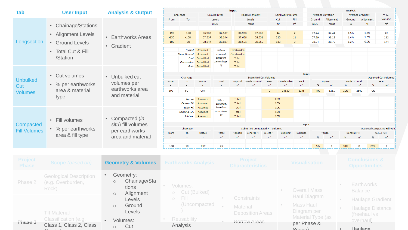| <b>Tab</b>                                                                                          |                                                                     |                                                                              |                            |                                                                                         |                                                                            |                                                                                 | Input                                                                           |                                                                      |                                    |                                                     |                                         | <b>Analysis</b>          |                                          |                                  |                                                  |                                                                          |  |
|-----------------------------------------------------------------------------------------------------|---------------------------------------------------------------------|------------------------------------------------------------------------------|----------------------------|-----------------------------------------------------------------------------------------|----------------------------------------------------------------------------|---------------------------------------------------------------------------------|---------------------------------------------------------------------------------|----------------------------------------------------------------------|------------------------------------|-----------------------------------------------------|-----------------------------------------|--------------------------|------------------------------------------|----------------------------------|--------------------------------------------------|--------------------------------------------------------------------------|--|
|                                                                                                     | <b>User Input</b>                                                   | <b>Analysis &amp; Output</b>                                                 |                            | Chainage                                                                                |                                                                            | <b>Ground Level</b>                                                             |                                                                                 | <b>Road Alignment</b>                                                |                                    | <b>Earthwork Volume</b>                             |                                         | <b>Average Elevation</b> |                                          | <b>Average Gradient</b>          |                                                  | Total                                                                    |  |
|                                                                                                     | • Chainage/Stations                                                 | • Earthworks Areas<br>• Gradient                                             | From                       | To                                                                                      |                                                                            | Levels<br>mOD                                                                   |                                                                                 | Levels<br>mOD                                                        |                                    | Cut<br>m <sup>3</sup>                               | Fill<br>m <sup>3</sup>                  | Ground<br>mOD            | Alignment<br>mOD                         | Ground<br>%                      | Alignment<br>%                                   | Volume<br>m <sup>3</sup>                                                 |  |
| $\bullet$<br>Longsection<br>• Ground Levels<br><b>Total Cut &amp; Fill</b><br>$\bullet$<br>/Station | <b>Alignment Levels</b>                                             |                                                                              | $-190$<br>$-150$<br>$-100$ | $-150$<br>$-100$<br>$-50$<br><b>Topsoil</b><br><b>Made Ground</b><br>Peat<br>Overburden | 36.933<br>37.537<br>38.244<br>Assumed<br>Assumed<br>Submitted<br>Submitted | 37.537<br>38.244<br>38.837<br>Where<br>assumed.<br>based on<br>percentage<br>of | 36.933<br>37.638<br>38.551<br>Overburden<br>Overburden<br>Total<br><b>Total</b> | 37.638<br>38.551<br>38.865                                           |                                    | 44<br>223<br>183                                    | $\overline{2}$<br>11<br>-9              | 37.24<br>37.89<br>38.54  | 37.44<br>38.22<br>38.70                  | 1.5%<br>1.4%<br>1.2%             | 1.6%<br>1.6%<br>0.9%                             | 42<br>212<br>174                                                         |  |
| <b>Unbulked</b><br>Cut<br><b>Volumes</b>                                                            | • Cut volumes<br>• % per earthworks<br>area & material<br>type      | • Unbulked cut<br>volumes per<br>earthworks area<br>and material             | From<br>$-190$             | Chainage<br>To<br>50<br>Topsoil<br>General Fill                                         | Rock Submitted<br><b>Status</b><br><b>CUT</b><br>Assumed<br>Assumed        | Total<br>Where<br>assumed.                                                      | <b>Total</b><br><b>Topsoil</b><br>m <sup>3</sup><br>Total<br>Total              | <b>Submitted Cut Volumes</b><br><b>Made Ground</b><br>m <sup>3</sup> | Peat<br>m <sup>3</sup><br>$\Omega$ | Overburden<br>m <sup>3</sup><br>25620<br>20%<br>20% | Input<br>Rock<br>m <sup>3</sup><br>1245 | oz<br>5%                 | <b>Topsoil</b><br>m <sup>3</sup><br>1281 | <b>Made Ground</b><br>OZ.<br>10% | m <sup>3</sup><br>96<br>2562<br>0%               | <b>Assumed Cut Volumes</b><br>Peat<br>m <sup>3</sup>                     |  |
| Compacted<br><b>Fill Volumes</b>                                                                    | Fill volumes<br>$\bullet$<br>• % per earthworks<br>area & fill type | • Compacted (in<br>situ) fill volumes<br>per earthworks<br>area and material | From<br>$-190$             | Select Fill<br>Capping (6F)<br><b>Subbase</b><br>Chainage<br>To<br>50                   | Assumed<br>Assumed<br>Assumed<br><b>Status</b><br><b>CUT</b>               | based on<br>percentage<br>of<br>Total<br>m <sup>3</sup><br>26                   | Total<br><b>Total</b><br>Total<br><b>Topsoi</b><br>m <sup>3</sup>               | Submitted Compacted Fill Volumes<br><b>General Fill</b>              | Select Fill                        | 10%<br>10%<br>10%<br>Capping                        | Input<br>Subbase<br>m <sup>3</sup>      | 5%                       | <b>Topsoil</b>                           | General Fil<br>30%               | 25%<br>8                                         | <b>Assumed Compacted Fill Volu</b><br>Select Fill<br>m <sup>3</sup><br>6 |  |
| Project<br><b>Phase</b>                                                                             | <b>Scope</b> (based on)                                             | <b>Geometry &amp; Volumes</b>                                                |                            | <b>Earthworks Analysis</b>                                                              |                                                                            |                                                                                 |                                                                                 | <b>Project</b><br><b>Characteristics</b>                             |                                    |                                                     | <b>Visualisation</b>                    |                          |                                          |                                  | <b>Conclusions &amp;</b><br><b>Opportunities</b> |                                                                          |  |

| г наэс  |                                                             |     |                                                                       |                                                 | Ullal aut <del>o</del> l Iblius            |  |                          | <b>UPPULULILIGS</b>              |
|---------|-------------------------------------------------------------|-----|-----------------------------------------------------------------------|-------------------------------------------------|--------------------------------------------|--|--------------------------|----------------------------------|
| Phase 2 | <b>Geological Description</b><br>(e.g. Overburden,<br>Rock) |     | Geometry:<br>Chainage/Sta<br>$\circ$<br>tions<br>Alignment<br>$\circ$ | Volumes:<br>Cut (Bulked)<br>$\circlearrowright$ |                                            |  | <b>Overall Mass</b>      | Earthworks<br><b>Balance</b>     |
|         |                                                             |     | Levels                                                                | Fill.<br>$\circ$                                | Constraints                                |  | <b>Haul Diagram</b>      | <b>Haulage Gradient</b>          |
|         | <b>TII Material</b>                                         |     | Ground<br>$\circ$<br>Levels                                           | (Uncompacted                                    | <b>Material</b><br><b>Deposition Areas</b> |  | Mass Haul<br>Diagram per | Haulage Distance<br>(freehaul vs |
| Phase 3 | Classification (e.g.                                        |     | Volumes:                                                              | Reusability                                     | Borrow Areas                               |  | Material Type (as        | overhaul)                        |
|         | Class 1, Class 2, Class                                     | Cut |                                                                       | Analysis                                        |                                            |  | per Phase &<br>Sconal    | Haulage                          |

 $6N + 1$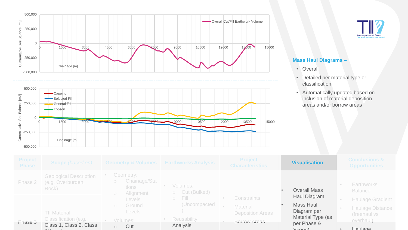



#### **Mass Haul Diagrams –**

- Overall
- Detailed per material type or classification
- Automatically updated based on inclusion of material deposition areas and/or borrow areas



 $6N + 1$ 

| <b>Project</b><br><b>Phase</b> | <b>Scope</b> (based on)                                     |                                                            | <b>Geometry &amp; Volumes Earthworks Analysis</b> | <b>Project</b><br><b>Characteristics</b>                         | <b>Visualisation</b>                       | <b>Conclusions &amp;</b><br><b>Opportunities</b>                   |
|--------------------------------|-------------------------------------------------------------|------------------------------------------------------------|---------------------------------------------------|------------------------------------------------------------------|--------------------------------------------|--------------------------------------------------------------------|
| Phase 2                        | <b>Geological Description</b><br>(e.g. Overburden,<br>Rock) | Geometry:<br>Chainage/Sta<br>tions<br>Alignment<br>$\circ$ | Volumes:<br>Cut (Bulked)<br>$\bigcirc$            |                                                                  | <b>Overall Mass</b>                        | <b>Earthworks</b><br><b>Balance</b>                                |
|                                | <b>TII Material</b>                                         | <b>Levels</b><br>Ground<br>$\bigcirc$<br><b>Levels</b>     | /Fill/<br>$\bigcirc$<br>(Uncompacted              | <b>Constraints</b><br><b>Material</b><br><b>Deposition Areas</b> | Haul Diagram<br>Mass Haul<br>Diagram per   | <b>Haulage Gradient</b><br><b>Haulage Distance</b><br>(freehaul vs |
| Phase 3                        | Classification (e.g.<br>Class 1, Class 2, Class             | Volumes:<br>Cut<br>$\circ$                                 | Reusability<br>Analysis                           | <b>Borrow Areas</b>                                              | Material Type (as<br>per Phase &<br>Sconal | overhaul)<br>Haulage                                               |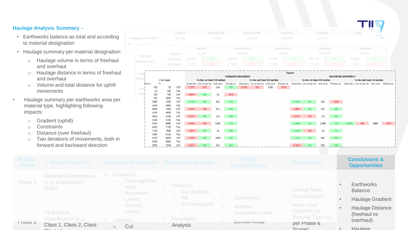#### **Haulage Analysis Summary** –

- Earthworks balance as total and according to material designation
- Haulage summary per material designation:
	- o Haulage volume in terms of freehaul and overhaul
	- o Haulage distance in terms of freehaul and overhaul
	- o Volume and total distance for uphill movements
- Haulage summary per earthworks area per material type, highlighting following impacts:
	- o Gradient (uphill)
	- o Constraints
	- o Distance (over freehaul)
	- o Two iterations of movements, both in forward and backward direction

|                                           |                |         |                     |                     |               |        |               |         |     |        | H.             |
|-------------------------------------------|----------------|---------|---------------------|---------------------|---------------|--------|---------------|---------|-----|--------|----------------|
|                                           | <b>Topsoil</b> |         | <b>General Fill</b> |                     | Selected Fill |        | Capping       | iubbase |     | Total  |                |
| 26,700<br>Haulage Deficit (m <sup>3</sup> |                |         | 72,563              |                     | 236,044       |        | 155,085       | 118,607 |     |        | <b>Ireland</b> |
| 15.621<br>_________                       |                | _______ | 217 279<br>_______  |                     |               |        |               | 5.205   |     |        |                |
|                                           |                |         | Topsoil             | <b>General Fill</b> |               |        | Selected Fill | Capping |     |        | subbase        |
|                                           | Overall        |         | 31,584              | 242,493             |               |        | 51,829        | 119,869 |     | 50,843 |                |
| Haulage                                   | Freehaul       | 25,819  | 82%                 | 184,966             | 76%           | 49,666 | 96%           | 102,750 | 86% | 48,499 | 95%            |
| Volume (m <sup>-</sup>                    | Overhaul       | 5,766   | 18%                 | 57,526              | 24%           | 2,163  | 4%            | 17,119  | 14% | 2,344  | 5%             |
|                                           |                |         |                     |                     |               |        |               |         |     |        |                |

TELL WE

| Hau    |        |          |             |          | $     -$                             |      |      | 20.230                       |            |      |      | <b>Topsoil</b>               |                                                                                                                | 47.000 |      |                              |            |      |      |
|--------|--------|----------|-------------|----------|--------------------------------------|------|------|------------------------------|------------|------|------|------------------------------|----------------------------------------------------------------------------------------------------------------|--------|------|------------------------------|------------|------|------|
| Distar |        |          |             |          |                                      |      |      | <b>FORWARD MOVEMENT</b>      |            |      |      | <b>BACKWARD MOVEMENT</b>     |                                                                                                                |        |      |                              |            |      |      |
|        |        | Chainage |             |          | To the 1st Next Fill Section         |      |      | To the 2nd Next Fill Section |            |      |      | To the 1st Next Fill Section |                                                                                                                |        |      | To the 2nd Next Fill Section |            |      |      |
| From   | To     |          |             |          | Gradient Constraints Volume Distance |      |      |                              |            |      |      |                              | Gradient Constraints Volume Distance Gradient Constraints Volume Distance Gradient Constraints Volume Distance |        |      |                              |            |      |      |
| Hat    | $-190$ | 50       | <b>CUT</b>  | 0.27%    | YES.                                 | 164  | 320  | 0.55%                        | <b>YES</b> | 1381 | 1820 |                              |                                                                                                                |        |      |                              |            |      |      |
|        | 50     | 450      | <b>FILL</b> |          |                                      |      |      |                              |            |      |      |                              |                                                                                                                |        |      |                              |            |      |      |
| Gra    | 450    | 700      | <b>CUT</b>  | 0.63%    | NO.                                  | 23   | 1175 |                              |            |      |      |                              |                                                                                                                |        |      |                              |            |      |      |
|        | 700    | 2800     | <b>FILL</b> |          |                                      |      |      |                              |            |      |      |                              |                                                                                                                |        |      |                              |            |      |      |
|        | 2800   | 3200     | <b>CUT</b>  | $-0.72%$ | NO.                                  | 462  | 525  |                              |            |      |      | $-0.74%$                     | NO                                                                                                             | 462    | 1250 |                              |            |      |      |
|        | 3200   | 3850     | <b>FILL</b> |          |                                      |      |      |                              |            |      |      |                              |                                                                                                                |        |      |                              |            |      |      |
|        | 3850   | 4200     | <b>CUT</b>  | 0.04%    | <b>YES</b>                           | 541  | 500  |                              |            |      |      | 0.86%                        | NO.                                                                                                            | 541    | 500  |                              |            |      |      |
|        | 4200   | 4850     | <b>FILL</b> |          |                                      |      |      |                              |            |      |      |                              |                                                                                                                |        |      |                              |            |      |      |
|        | 4850   | 5100     | <b>CUT</b>  | 0.23%    | NO.                                  | 172  | 450  |                              |            |      |      | 0.07%                        | <b>YES</b>                                                                                                     | 172    | 450  |                              |            |      |      |
|        | 5100   | 5750     | <b>FILL</b> |          |                                      |      |      |                              |            |      |      |                              |                                                                                                                |        |      |                              |            |      |      |
|        | 5750   | 6650     | <b>CUT</b>  | 0.48%    | YES.                                 | 5263 | 975  |                              |            |      |      | $-0.50%$                     | NO.                                                                                                            | 1498   | 775  | $-0.29%$                     | <b>YES</b> | 3899 | 1675 |
|        | 6650   | 7700     | <b>FILL</b> |          |                                      |      |      |                              |            |      |      |                              |                                                                                                                |        |      |                              |            |      |      |
|        | 7700   | 7800     | <b>CUT</b>  | 1.84%    | NO.                                  | 36   | 200  |                              |            |      |      | $-0.65%$                     | <b>YES</b>                                                                                                     | 36     | 575  |                              |            |      |      |
|        | 7800   | 8100     | <b>FILL</b> |          |                                      |      |      |                              |            |      |      |                              |                                                                                                                |        |      |                              |            |      |      |
|        | 8100   | 8400     | <b>CUT</b>  | 0.18%    | NO.                                  | 1626 | 450  |                              |            |      |      | $-1.22%$                     | NO.                                                                                                            | 832    | 300  |                              |            |      |      |
|        | 8400   | 9000     | <b>FILL</b> |          |                                      |      |      |                              |            |      |      |                              |                                                                                                                |        |      |                              |            |      |      |
|        | 9000   | 9200     | <b>CUT</b>  | 0.25%    | NO.                                  | 695  | 650  |                              |            |      |      | 0.10%                        | NO.                                                                                                            | 695    | 400  |                              |            |      |      |

| Project<br><b>Phase</b> | <b>Geometry &amp; Volumes</b><br><b>Scope</b> (based on)    |                                                                             | <b>Earthworks Analysis</b>   | Project<br><b>Characteristics</b>                                | <b>Visualisation</b>                             | <b>Conclusions &amp;</b><br><b>Opportunities</b>                   |
|-------------------------|-------------------------------------------------------------|-----------------------------------------------------------------------------|------------------------------|------------------------------------------------------------------|--------------------------------------------------|--------------------------------------------------------------------|
| Phase 2                 | <b>Geological Description</b><br>(e.g. Overburden,<br>Rock) | Geometry:<br>Chainage/Sta<br>$\bigcirc$<br>tions<br>Alignment<br>$\bigcirc$ | Volumes:<br>o Cut (Bulked)   |                                                                  | <b>Overall Mass</b>                              | <b>Earthworks</b><br><b>Balance</b>                                |
|                         | <b>TII Material</b>                                         | Levels<br>Ground<br>$\bigcirc$<br><b>Levels</b>                             | $\circ$ Fill<br>(Uncompacted | <b>Constraints</b><br><b>Material</b><br><b>Deposition Areas</b> | Haul Diagram<br>Mass Haul<br>Diagram per         | <b>Haulage Gradient</b><br><b>Haulage Distance</b><br>(freehaul vs |
| Phase 3                 | Classification (e.g.<br>Class 1, Class 2, Class             | Volumes:<br>Cut<br>$\circ$                                                  | Reusability<br>Analysis      | <b>Borrow Areas</b>                                              | Material Type (as<br>per Phase &<br>$C_{\Omega}$ | overhaul)<br>Haulane                                               |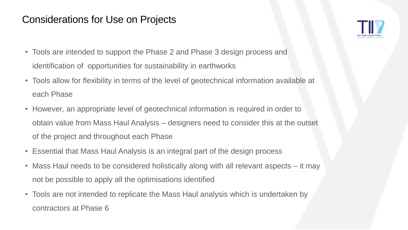# Considerations for Use on Projects

- Tools are intended to support the Phase 2 and Phase 3 design process and identification of opportunities for sustainability in earthworks
- Tools allow for flexibility in terms of the level of geotechnical information available at each Phase
- However, an appropriate level of geotechnical information is required in order to obtain value from Mass Haul Analysis – designers need to consider this at the outset of the project and throughout each Phase
- Essential that Mass Haul Analysis is an integral part of the design process
- Mass Haul needs to be considered holistically along with all relevant aspects it may not be possible to apply all the optimisations identified
- Tools are not intended to replicate the Mass Haul analysis which is undertaken by contractors at Phase 6